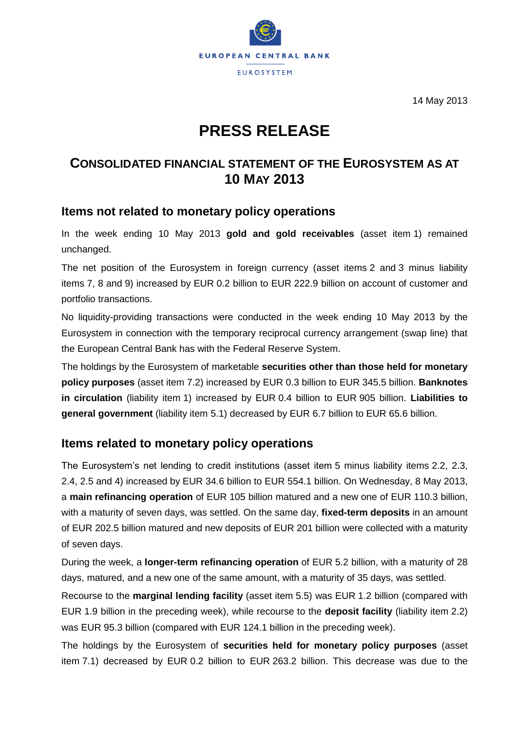

14 May 2013

# **PRESS RELEASE**

## **CONSOLIDATED FINANCIAL STATEMENT OF THE EUROSYSTEM AS AT 10 MAY 2013**

### **Items not related to monetary policy operations**

In the week ending 10 May 2013 **gold and gold receivables** (asset item 1) remained unchanged.

The net position of the Eurosystem in foreign currency (asset items 2 and 3 minus liability items 7, 8 and 9) increased by EUR 0.2 billion to EUR 222.9 billion on account of customer and portfolio transactions.

No liquidity-providing transactions were conducted in the week ending 10 May 2013 by the Eurosystem in connection with the temporary reciprocal currency arrangement (swap line) that the European Central Bank has with the Federal Reserve System.

The holdings by the Eurosystem of marketable **securities other than those held for monetary policy purposes** (asset item 7.2) increased by EUR 0.3 billion to EUR 345.5 billion. **Banknotes in circulation** (liability item 1) increased by EUR 0.4 billion to EUR 905 billion. **Liabilities to general government** (liability item 5.1) decreased by EUR 6.7 billion to EUR 65.6 billion.

## **Items related to monetary policy operations**

The Eurosystem's net lending to credit institutions (asset item 5 minus liability items 2.2, 2.3, 2.4, 2.5 and 4) increased by EUR 34.6 billion to EUR 554.1 billion. On Wednesday, 8 May 2013, a **main refinancing operation** of EUR 105 billion matured and a new one of EUR 110.3 billion, with a maturity of seven days, was settled. On the same day, **fixed-term deposits** in an amount of EUR 202.5 billion matured and new deposits of EUR 201 billion were collected with a maturity of seven days.

During the week, a **longer-term refinancing operation** of EUR 5.2 billion, with a maturity of 28 days, matured, and a new one of the same amount, with a maturity of 35 days, was settled.

Recourse to the **marginal lending facility** (asset item 5.5) was EUR 1.2 billion (compared with EUR 1.9 billion in the preceding week), while recourse to the **deposit facility** (liability item 2.2) was EUR 95.3 billion (compared with EUR 124.1 billion in the preceding week).

The holdings by the Eurosystem of **securities held for monetary policy purposes** (asset item 7.1) decreased by EUR 0.2 billion to EUR 263.2 billion. This decrease was due to the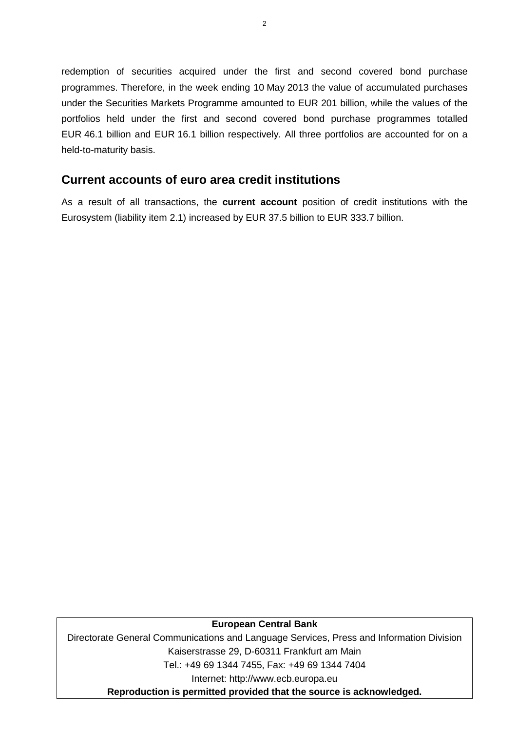redemption of securities acquired under the first and second covered bond purchase programmes. Therefore, in the week ending 10 May 2013 the value of accumulated purchases under the Securities Markets Programme amounted to EUR 201 billion, while the values of the portfolios held under the first and second covered bond purchase programmes totalled EUR 46.1 billion and EUR 16.1 billion respectively. All three portfolios are accounted for on a held-to-maturity basis.

### **Current accounts of euro area credit institutions**

As a result of all transactions, the **current account** position of credit institutions with the Eurosystem (liability item 2.1) increased by EUR 37.5 billion to EUR 333.7 billion.

#### **European Central Bank**

Directorate General Communications and Language Services, Press and Information Division Kaiserstrasse 29, D-60311 Frankfurt am Main Tel.: +49 69 1344 7455, Fax: +49 69 1344 7404 Internet: http://www.ecb.europa.eu **Reproduction is permitted provided that the source is acknowledged.**